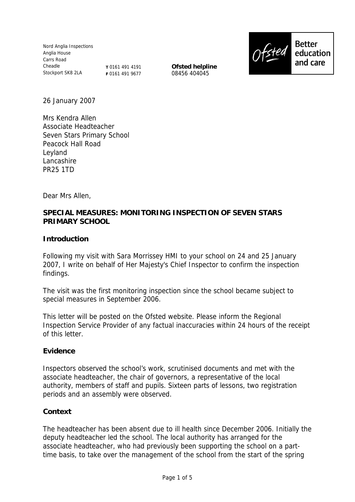Nord Anglia Inspections Anglia House Carrs Road Cheadle Stockport SK8 2LA

**T** 0161 491 4191 **F** 0161 491 9677 **Ofsted helpline** 08456 404045



26 January 2007

Mrs Kendra Allen Associate Headteacher Seven Stars Primary School Peacock Hall Road Leyland Lancashire PR25 1TD

Dear Mrs Allen,

### **SPECIAL MEASURES: MONITORING INSPECTION OF SEVEN STARS PRIMARY SCHOOL**

**Introduction**

Following my visit with Sara Morrissey HMI to your school on 24 and 25 January 2007, I write on behalf of Her Majesty's Chief Inspector to confirm the inspection findings.

The visit was the first monitoring inspection since the school became subject to special measures in September 2006.

This letter will be posted on the Ofsted website. Please inform the Regional Inspection Service Provider of any factual inaccuracies within 24 hours of the receipt of this letter.

#### **Evidence**

Inspectors observed the school's work, scrutinised documents and met with the associate headteacher, the chair of governors, a representative of the local authority, members of staff and pupils. Sixteen parts of lessons, two registration periods and an assembly were observed.

#### **Context**

The headteacher has been absent due to ill health since December 2006. Initially the deputy headteacher led the school. The local authority has arranged for the associate headteacher, who had previously been supporting the school on a parttime basis, to take over the management of the school from the start of the spring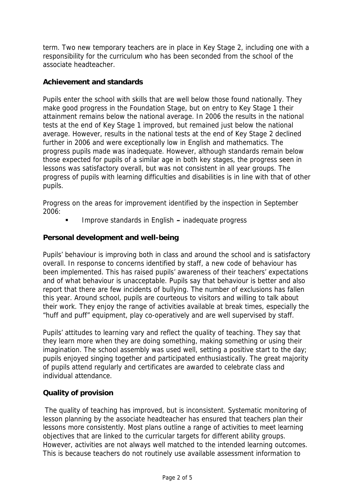term. Two new temporary teachers are in place in Key Stage 2, including one with a responsibility for the curriculum who has been seconded from the school of the associate headteacher.

### **Achievement and standards**

Pupils enter the school with skills that are well below those found nationally. They make good progress in the Foundation Stage, but on entry to Key Stage 1 their attainment remains below the national average. In 2006 the results in the national tests at the end of Key Stage 1 improved, but remained just below the national average. However, results in the national tests at the end of Key Stage 2 declined further in 2006 and were exceptionally low in English and mathematics. The progress pupils made was inadequate. However, although standards remain below those expected for pupils of a similar age in both key stages, the progress seen in lessons was satisfactory overall, but was not consistent in all year groups. The progress of pupils with learning difficulties and disabilities is in line with that of other pupils.

Progress on the areas for improvement identified by the inspection in September 2006:

Improve standards in English **–** inadequate progress

# **Personal development and well-being**

Pupils' behaviour is improving both in class and around the school and is satisfactory overall. In response to concerns identified by staff, a new code of behaviour has been implemented. This has raised pupils' awareness of their teachers' expectations and of what behaviour is unacceptable. Pupils say that behaviour is better and also report that there are few incidents of bullying. The number of exclusions has fallen this year. Around school, pupils are courteous to visitors and willing to talk about their work. They enjoy the range of activities available at break times, especially the "huff and puff" equipment, play co-operatively and are well supervised by staff.

Pupils' attitudes to learning vary and reflect the quality of teaching. They say that they learn more when they are doing something, making something or using their imagination. The school assembly was used well, setting a positive start to the day; pupils enjoyed singing together and participated enthusiastically. The great majority of pupils attend regularly and certificates are awarded to celebrate class and individual attendance.

# **Quality of provision**

The quality of teaching has improved, but is inconsistent. Systematic monitoring of lesson planning by the associate headteacher has ensured that teachers plan their lessons more consistently. Most plans outline a range of activities to meet learning objectives that are linked to the curricular targets for different ability groups. However, activities are not always well matched to the intended learning outcomes. This is because teachers do not routinely use available assessment information to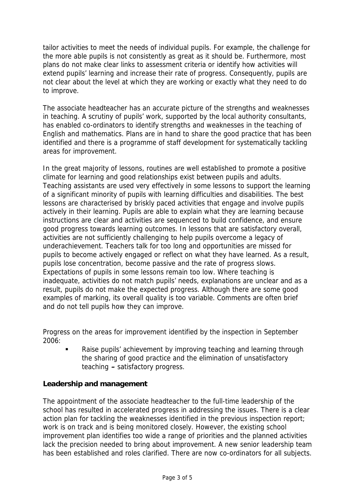tailor activities to meet the needs of individual pupils. For example, the challenge for the more able pupils is not consistently as great as it should be. Furthermore, most plans do not make clear links to assessment criteria or identify how activities will extend pupils' learning and increase their rate of progress. Consequently, pupils are not clear about the level at which they are working or exactly what they need to do to improve.

The associate headteacher has an accurate picture of the strengths and weaknesses in teaching. A scrutiny of pupils' work, supported by the local authority consultants, has enabled co-ordinators to identify strengths and weaknesses in the teaching of English and mathematics. Plans are in hand to share the good practice that has been identified and there is a programme of staff development for systematically tackling areas for improvement.

In the great majority of lessons, routines are well established to promote a positive climate for learning and good relationships exist between pupils and adults. Teaching assistants are used very effectively in some lessons to support the learning of a significant minority of pupils with learning difficulties and disabilities. The best lessons are characterised by briskly paced activities that engage and involve pupils actively in their learning. Pupils are able to explain what they are learning because instructions are clear and activities are sequenced to build confidence, and ensure good progress towards learning outcomes. In lessons that are satisfactory overall, activities are not sufficiently challenging to help pupils overcome a legacy of underachievement. Teachers talk for too long and opportunities are missed for pupils to become actively engaged or reflect on what they have learned. As a result, pupils lose concentration, become passive and the rate of progress slows. Expectations of pupils in some lessons remain too low. Where teaching is inadequate, activities do not match pupils' needs, explanations are unclear and as a result, pupils do not make the expected progress. Although there are some good examples of marking, its overall quality is too variable. Comments are often brief and do not tell pupils how they can improve.

Progress on the areas for improvement identified by the inspection in September 2006:

 Raise pupils' achievement by improving teaching and learning through the sharing of good practice and the elimination of unsatisfactory teaching **–** satisfactory progress.

**Leadership and management**

The appointment of the associate headteacher to the full-time leadership of the school has resulted in accelerated progress in addressing the issues. There is a clear action plan for tackling the weaknesses identified in the previous inspection report; work is on track and is being monitored closely. However, the existing school improvement plan identifies too wide a range of priorities and the planned activities lack the precision needed to bring about improvement. A new senior leadership team has been established and roles clarified. There are now co-ordinators for all subjects.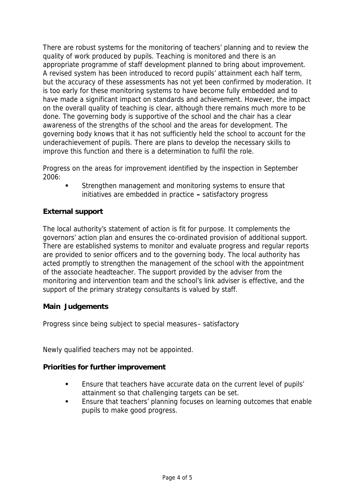There are robust systems for the monitoring of teachers' planning and to review the quality of work produced by pupils. Teaching is monitored and there is an appropriate programme of staff development planned to bring about improvement. A revised system has been introduced to record pupils' attainment each half term, but the accuracy of these assessments has not yet been confirmed by moderation. It is too early for these monitoring systems to have become fully embedded and to have made a significant impact on standards and achievement. However, the impact on the overall quality of teaching is clear, although there remains much more to be done. The governing body is supportive of the school and the chair has a clear awareness of the strengths of the school and the areas for development. The governing body knows that it has not sufficiently held the school to account for the underachievement of pupils. There are plans to develop the necessary skills to improve this function and there is a determination to fulfil the role.

Progress on the areas for improvement identified by the inspection in September 2006:

 Strengthen management and monitoring systems to ensure that initiatives are embedded in practice **–** satisfactory progress

# **External support**

The local authority's statement of action is fit for purpose. It complements the governors' action plan and ensures the co-ordinated provision of additional support. There are established systems to monitor and evaluate progress and regular reports are provided to senior officers and to the governing body. The local authority has acted promptly to strengthen the management of the school with the appointment of the associate headteacher. The support provided by the adviser from the monitoring and intervention team and the school's link adviser is effective, and the support of the primary strategy consultants is valued by staff.

# **Main Judgements**

Progress since being subject to special measures– satisfactory

Newly qualified teachers may not be appointed.

**Priorities for further improvement**

- Ensure that teachers have accurate data on the current level of pupils' attainment so that challenging targets can be set.
- Ensure that teachers' planning focuses on learning outcomes that enable pupils to make good progress.